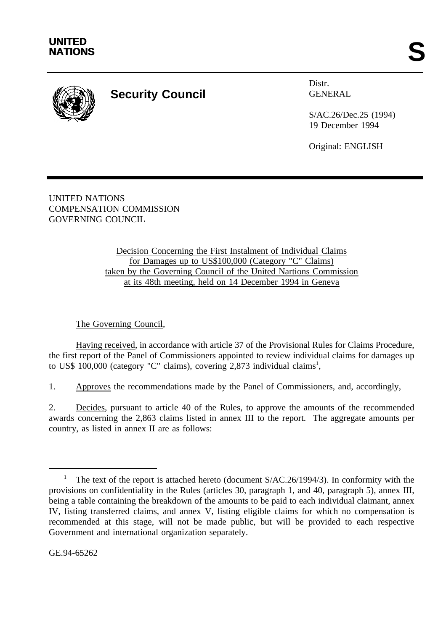

## **Security Council**

Distr. GENERAL

S/AC.26/Dec.25 (1994) 19 December 1994

Original: ENGLISH

UNITED NATIONS COMPENSATION COMMISSION GOVERNING COUNCIL

> Decision Concerning the First Instalment of Individual Claims for Damages up to US\$100,000 (Category "C" Claims) taken by the Governing Council of the United Nartions Commission at its 48th meeting, held on 14 December 1994 in Geneva

The Governing Council,

Having received, in accordance with article 37 of the Provisional Rules for Claims Procedure, the first report of the Panel of Commissioners appointed to review individual claims for damages up to US\$ 100,000 (category "C" claims), covering 2,873 individual claims<sup>1</sup>,

1. Approves the recommendations made by the Panel of Commissioners, and, accordingly,

2. Decides, pursuant to article 40 of the Rules, to approve the amounts of the recommended awards concerning the 2,863 claims listed in annex III to the report. The aggregate amounts per country, as listed in annex II are as follows:

GE.94-65262

The text of the report is attached hereto (document  $S/AC.26/1994/3$ ). In conformity with the provisions on confidentiality in the Rules (articles 30, paragraph 1, and 40, paragraph 5), annex III, being a table containing the breakdown of the amounts to be paid to each individual claimant, annex IV, listing transferred claims, and annex V, listing eligible claims for which no compensation is recommended at this stage, will not be made public, but will be provided to each respective Government and international organization separately.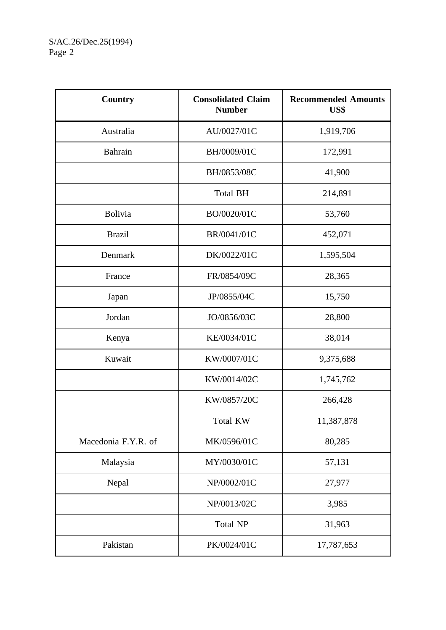| Country             | <b>Consolidated Claim</b><br><b>Number</b> | <b>Recommended Amounts</b><br>US\$ |
|---------------------|--------------------------------------------|------------------------------------|
| Australia           | AU/0027/01C                                | 1,919,706                          |
| <b>Bahrain</b>      | BH/0009/01C                                | 172,991                            |
|                     | BH/0853/08C                                | 41,900                             |
|                     | <b>Total BH</b>                            | 214,891                            |
| <b>Bolivia</b>      | BO/0020/01C                                | 53,760                             |
| <b>Brazil</b>       | BR/0041/01C                                | 452,071                            |
| Denmark             | DK/0022/01C                                | 1,595,504                          |
| France              | FR/0854/09C                                | 28,365                             |
| Japan               | JP/0855/04C                                | 15,750                             |
| Jordan              | JO/0856/03C                                | 28,800                             |
| Kenya               | KE/0034/01C                                | 38,014                             |
| Kuwait              | KW/0007/01C                                | 9,375,688                          |
|                     | KW/0014/02C                                | 1,745,762                          |
|                     | KW/0857/20C                                | 266,428                            |
|                     | Total KW                                   | 11,387,878                         |
| Macedonia F.Y.R. of | MK/0596/01C                                | 80,285                             |
| Malaysia            | MY/0030/01C                                | 57,131                             |
| Nepal               | NP/0002/01C                                | 27,977                             |
|                     | NP/0013/02C                                | 3,985                              |
|                     | <b>Total NP</b>                            | 31,963                             |
| Pakistan            | PK/0024/01C                                | 17,787,653                         |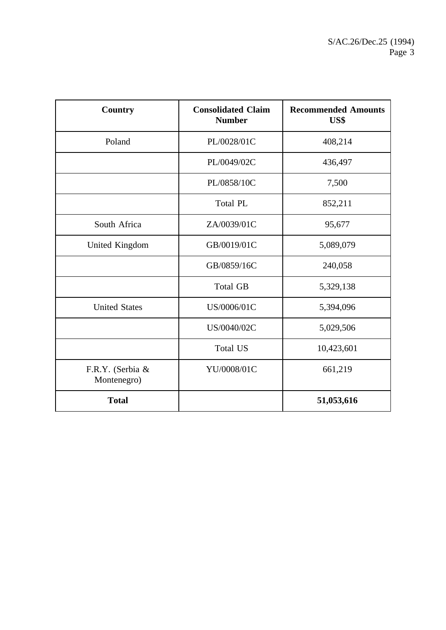| <b>Country</b>                  | <b>Consolidated Claim</b><br><b>Number</b> | <b>Recommended Amounts</b><br>US\$ |
|---------------------------------|--------------------------------------------|------------------------------------|
| Poland                          | PL/0028/01C                                | 408,214                            |
|                                 | PL/0049/02C                                | 436,497                            |
|                                 | PL/0858/10C                                | 7,500                              |
|                                 | <b>Total PL</b>                            | 852,211                            |
| South Africa                    | ZA/0039/01C                                | 95,677                             |
| United Kingdom                  | GB/0019/01C                                | 5,089,079                          |
|                                 | GB/0859/16C                                | 240,058                            |
|                                 | <b>Total GB</b>                            | 5,329,138                          |
| <b>United States</b>            | US/0006/01C                                | 5,394,096                          |
|                                 | US/0040/02C                                | 5,029,506                          |
|                                 | <b>Total US</b>                            | 10,423,601                         |
| F.R.Y. (Serbia &<br>Montenegro) | YU/0008/01C                                | 661,219                            |
| <b>Total</b>                    |                                            | 51,053,616                         |